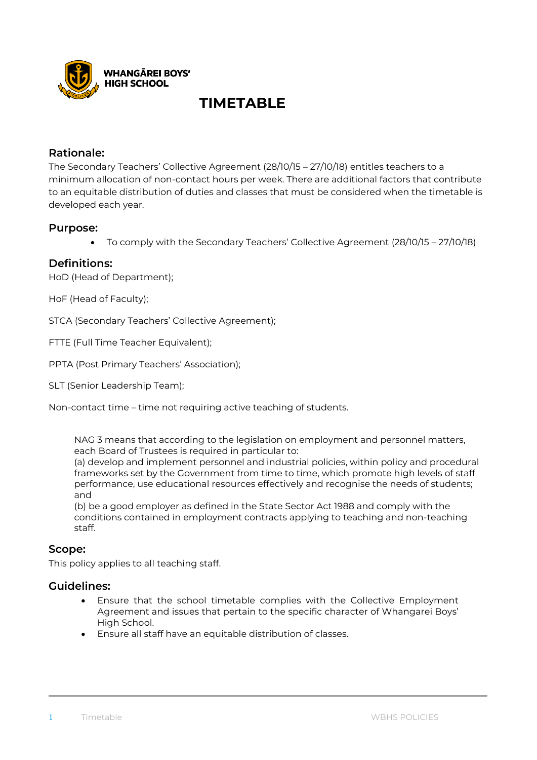

# **TIMETABLE**

# **Rationale:**

The Secondary Teachers' Collective Agreement (28/10/15 – 27/10/18) entitles teachers to a minimum allocation of non-contact hours per week. There are additional factors that contribute to an equitable distribution of duties and classes that must be considered when the timetable is developed each year.

## **Purpose:**

• To comply with the Secondary Teachers' Collective Agreement (28/10/15 – 27/10/18)

## **Definitions:**

HoD (Head of Department);

HoF (Head of Faculty);

STCA (Secondary Teachers' Collective Agreement);

FTTE (Full Time Teacher Equivalent);

PPTA (Post Primary Teachers' Association);

SLT (Senior Leadership Team);

Non-contact time – time not requiring active teaching of students.

NAG 3 means that according to the legislation on employment and personnel matters, each Board of Trustees is required in particular to:

(a) develop and implement personnel and industrial policies, within policy and procedural frameworks set by the Government from time to time, which promote high levels of staff performance, use educational resources effectively and recognise the needs of students; and

(b) be a good employer as defined in the State Sector Act 1988 and comply with the conditions contained in employment contracts applying to teaching and non-teaching staff.

### **Scope:**

This policy applies to all teaching staff.

### **Guidelines:**

- Ensure that the school timetable complies with the Collective Employment Agreement and issues that pertain to the specific character of Whangarei Boys' High School.
- Ensure all staff have an equitable distribution of classes.